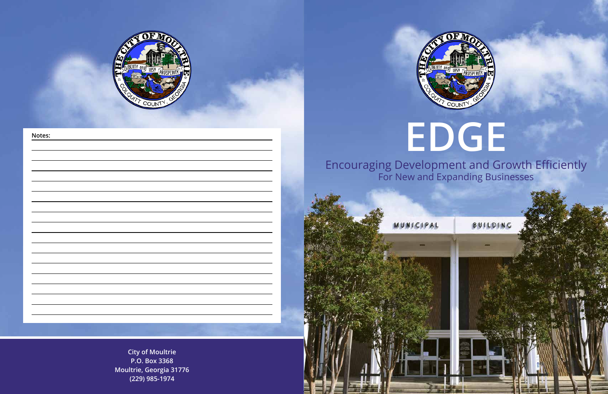# **EDGE**

# Encouraging Development and Growth Efficiently For New and Expanding Businesses

BUILDING

**City of Moultrie P.O. Box 3368 Moultrie, Georgia 31776 (229) 985-1974**









### **Notes:**